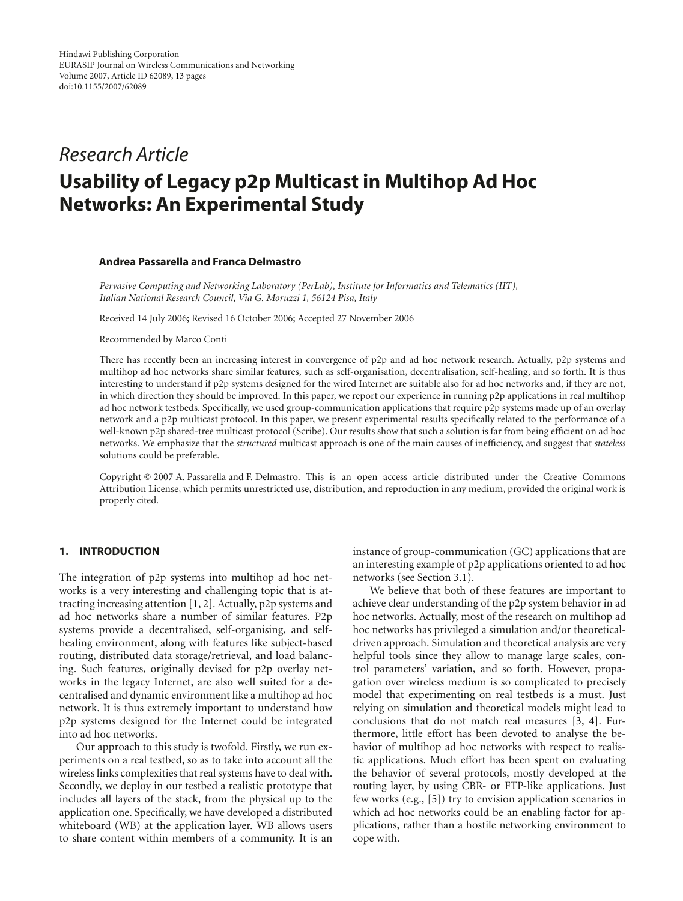# *Research Article* **Usability of Legacy p2p Multicast in Multihop Ad Hoc Networks: An Experimental Study**

### **Andrea Passarella and Franca Delmastro**

*Pervasive Computing and Networking Laboratory (PerLab), Institute for Informatics and Telematics (IIT), Italian National Research Council, Via G. Moruzzi 1, 56124 Pisa, Italy*

Received 14 July 2006; Revised 16 October 2006; Accepted 27 November 2006

Recommended by Marco Conti

There has recently been an increasing interest in convergence of p2p and ad hoc network research. Actually, p2p systems and multihop ad hoc networks share similar features, such as self-organisation, decentralisation, self-healing, and so forth. It is thus interesting to understand if p2p systems designed for the wired Internet are suitable also for ad hoc networks and, if they are not, in which direction they should be improved. In this paper, we report our experience in running p2p applications in real multihop ad hoc network testbeds. Specifically, we used group-communication applications that require p2p systems made up of an overlay network and a p2p multicast protocol. In this paper, we present experimental results specifically related to the performance of a well-known p2p shared-tree multicast protocol (Scribe). Our results show that such a solution is far from being efficient on ad hoc networks. We emphasize that the *structured* multicast approach is one of the main causes of inefficiency, and suggest that *stateless* solutions could be preferable.

Copyright © 2007 A. Passarella and F. Delmastro. This is an open access article distributed under the Creative Commons Attribution License, which permits unrestricted use, distribution, and reproduction in any medium, provided the original work is properly cited.

# **1. INTRODUCTION**

The integration of p2p systems into multihop ad hoc networks is a very interesting and challenging topic that is attracting increasing attention [\[1](#page-11-1), [2](#page-11-2)]. Actually, p2p systems and ad hoc networks share a number of similar features. P2p systems provide a decentralised, self-organising, and selfhealing environment, along with features like subject-based routing, distributed data storage/retrieval, and load balancing. Such features, originally devised for p2p overlay networks in the legacy Internet, are also well suited for a decentralised and dynamic environment like a multihop ad hoc network. It is thus extremely important to understand how p2p systems designed for the Internet could be integrated into ad hoc networks.

Our approach to this study is twofold. Firstly, we run experiments on a real testbed, so as to take into account all the wireless links complexities that real systems have to deal with. Secondly, we deploy in our testbed a realistic prototype that includes all layers of the stack, from the physical up to the application one. Specifically, we have developed a distributed whiteboard (WB) at the application layer. WB allows users to share content within members of a community. It is an

instance of group-communication (GC) applications that are an interesting example of p2p applications oriented to ad hoc networks (see [Section 3.1\)](#page-2-0).

We believe that both of these features are important to achieve clear understanding of the p2p system behavior in ad hoc networks. Actually, most of the research on multihop ad hoc networks has privileged a simulation and/or theoreticaldriven approach. Simulation and theoretical analysis are very helpful tools since they allow to manage large scales, control parameters' variation, and so forth. However, propagation over wireless medium is so complicated to precisely model that experimenting on real testbeds is a must. Just relying on simulation and theoretical models might lead to conclusions that do not match real measures [\[3](#page-11-3), [4\]](#page-11-4). Furthermore, little effort has been devoted to analyse the behavior of multihop ad hoc networks with respect to realistic applications. Much effort has been spent on evaluating the behavior of several protocols, mostly developed at the routing layer, by using CBR- or FTP-like applications. Just few works (e.g., [\[5](#page-11-5)]) try to envision application scenarios in which ad hoc networks could be an enabling factor for applications, rather than a hostile networking environment to cope with.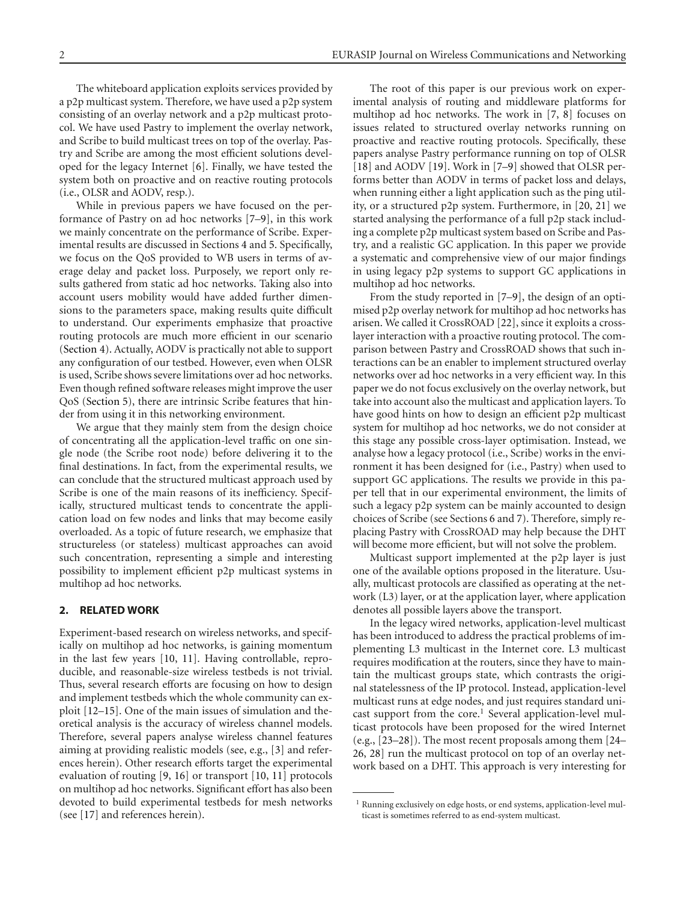The whiteboard application exploits services provided by a p2p multicast system. Therefore, we have used a p2p system consisting of an overlay network and a p2p multicast protocol. We have used Pastry to implement the overlay network, and Scribe to build multicast trees on top of the overlay. Pastry and Scribe are among the most efficient solutions developed for the legacy Internet [\[6\]](#page-11-6). Finally, we have tested the system both on proactive and on reactive routing protocols (i.e., OLSR and AODV, resp.).

While in previous papers we have focused on the performance of Pastry on ad hoc networks [\[7](#page-11-7)[–9\]](#page-11-8), in this work we mainly concentrate on the performance of Scribe. Experimental results are discussed in Sections [4](#page-5-0) and [5.](#page-6-0) Specifically, we focus on the QoS provided to WB users in terms of average delay and packet loss. Purposely, we report only results gathered from static ad hoc networks. Taking also into account users mobility would have added further dimensions to the parameters space, making results quite difficult to understand. Our experiments emphasize that proactive routing protocols are much more efficient in our scenario [\(Section 4\)](#page-5-0). Actually, AODV is practically not able to support any configuration of our testbed. However, even when OLSR is used, Scribe shows severe limitations over ad hoc networks. Even though refined software releases might improve the user QoS [\(Section 5\)](#page-6-0), there are intrinsic Scribe features that hinder from using it in this networking environment.

We argue that they mainly stem from the design choice of concentrating all the application-level traffic on one single node (the Scribe root node) before delivering it to the final destinations. In fact, from the experimental results, we can conclude that the structured multicast approach used by Scribe is one of the main reasons of its inefficiency. Specifically, structured multicast tends to concentrate the application load on few nodes and links that may become easily overloaded. As a topic of future research, we emphasize that structureless (or stateless) multicast approaches can avoid such concentration, representing a simple and interesting possibility to implement efficient p2p multicast systems in multihop ad hoc networks.

## **2. RELATED WORK**

Experiment-based research on wireless networks, and specifically on multihop ad hoc networks, is gaining momentum in the last few years [\[10,](#page-12-0) [11\]](#page-12-1). Having controllable, reproducible, and reasonable-size wireless testbeds is not trivial. Thus, several research efforts are focusing on how to design and implement testbeds which the whole community can exploit [\[12](#page-12-2)[–15\]](#page-12-3). One of the main issues of simulation and theoretical analysis is the accuracy of wireless channel models. Therefore, several papers analyse wireless channel features aiming at providing realistic models (see, e.g., [\[3](#page-11-3)] and references herein). Other research efforts target the experimental evaluation of routing [\[9](#page-11-8), [16\]](#page-12-4) or transport [\[10,](#page-12-0) [11\]](#page-12-1) protocols on multihop ad hoc networks. Significant effort has also been devoted to build experimental testbeds for mesh networks (see [\[17](#page-12-5)] and references herein).

The root of this paper is our previous work on experimental analysis of routing and middleware platforms for multihop ad hoc networks. The work in [\[7,](#page-11-7) [8\]](#page-11-9) focuses on issues related to structured overlay networks running on proactive and reactive routing protocols. Specifically, these papers analyse Pastry performance running on top of OLSR [\[18](#page-12-6)] and AODV [\[19\]](#page-12-7). Work in [\[7](#page-11-7)[–9](#page-11-8)] showed that OLSR performs better than AODV in terms of packet loss and delays, when running either a light application such as the ping utility, or a structured p2p system. Furthermore, in [\[20](#page-12-8), [21\]](#page-12-9) we started analysing the performance of a full p2p stack including a complete p2p multicast system based on Scribe and Pastry, and a realistic GC application. In this paper we provide a systematic and comprehensive view of our major findings in using legacy p2p systems to support GC applications in multihop ad hoc networks.

From the study reported in [\[7](#page-11-7)[–9](#page-11-8)], the design of an optimised p2p overlay network for multihop ad hoc networks has arisen. We called it CrossROAD [\[22\]](#page-12-10), since it exploits a crosslayer interaction with a proactive routing protocol. The comparison between Pastry and CrossROAD shows that such interactions can be an enabler to implement structured overlay networks over ad hoc networks in a very efficient way. In this paper we do not focus exclusively on the overlay network, but take into account also the multicast and application layers. To have good hints on how to design an efficient p2p multicast system for multihop ad hoc networks, we do not consider at this stage any possible cross-layer optimisation. Instead, we analyse how a legacy protocol (i.e., Scribe) works in the environment it has been designed for (i.e., Pastry) when used to support GC applications. The results we provide in this paper tell that in our experimental environment, the limits of such a legacy p2p system can be mainly accounted to design choices of Scribe (see Sections [6](#page-8-0) and [7\)](#page-9-0). Therefore, simply replacing Pastry with CrossROAD may help because the DHT will become more efficient, but will not solve the problem.

Multicast support implemented at the p2p layer is just one of the available options proposed in the literature. Usually, multicast protocols are classified as operating at the network (L3) layer, or at the application layer, where application denotes all possible layers above the transport.

In the legacy wired networks, application-level multicast has been introduced to address the practical problems of implementing L3 multicast in the Internet core. L3 multicast requires modification at the routers, since they have to maintain the multicast groups state, which contrasts the original statelessness of the IP protocol. Instead, application-level multicast runs at edge nodes, and just requires standard unicast support from the core.<sup>1</sup> Several application-level multicast protocols have been proposed for the wired Internet (e.g., [\[23](#page-12-11)[–28\]](#page-12-12)). The most recent proposals among them [\[24](#page-12-13)– [26,](#page-12-14) [28](#page-12-12)] run the multicast protocol on top of an overlay network based on a DHT. This approach is very interesting for

<sup>&</sup>lt;sup>1</sup> Running exclusively on edge hosts, or end systems, application-level multicast is sometimes referred to as end-system multicast.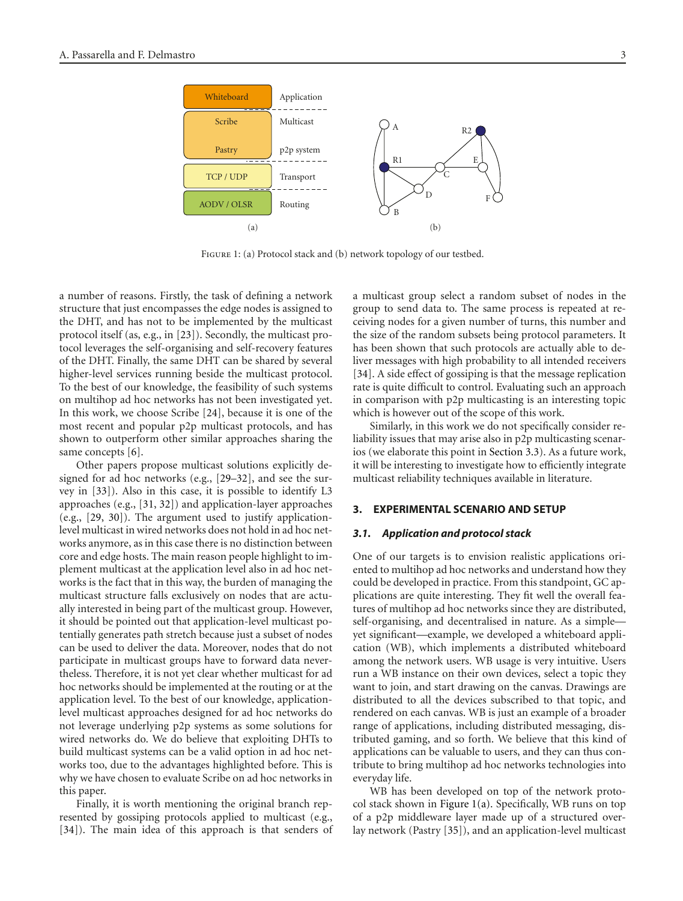<span id="page-2-1"></span>

<span id="page-2-2"></span>FIGURE 1: (a) Protocol stack and (b) network topology of our testbed.

a number of reasons. Firstly, the task of defining a network structure that just encompasses the edge nodes is assigned to the DHT, and has not to be implemented by the multicast protocol itself (as, e.g., in [\[23](#page-12-11)]). Secondly, the multicast protocol leverages the self-organising and self-recovery features of the DHT. Finally, the same DHT can be shared by several higher-level services running beside the multicast protocol. To the best of our knowledge, the feasibility of such systems on multihop ad hoc networks has not been investigated yet. In this work, we choose Scribe [\[24](#page-12-13)], because it is one of the most recent and popular p2p multicast protocols, and has shown to outperform other similar approaches sharing the same concepts [\[6](#page-11-6)].

Other papers propose multicast solutions explicitly designed for ad hoc networks (e.g., [\[29](#page-12-15)[–32\]](#page-12-16), and see the survey in [\[33\]](#page-12-17)). Also in this case, it is possible to identify L3 approaches (e.g., [\[31](#page-12-18), [32\]](#page-12-16)) and application-layer approaches (e.g., [\[29,](#page-12-15) [30\]](#page-12-19)). The argument used to justify applicationlevel multicast in wired networks does not hold in ad hoc networks anymore, as in this case there is no distinction between core and edge hosts. The main reason people highlight to implement multicast at the application level also in ad hoc networks is the fact that in this way, the burden of managing the multicast structure falls exclusively on nodes that are actually interested in being part of the multicast group. However, it should be pointed out that application-level multicast potentially generates path stretch because just a subset of nodes can be used to deliver the data. Moreover, nodes that do not participate in multicast groups have to forward data nevertheless. Therefore, it is not yet clear whether multicast for ad hoc networks should be implemented at the routing or at the application level. To the best of our knowledge, applicationlevel multicast approaches designed for ad hoc networks do not leverage underlying p2p systems as some solutions for wired networks do. We do believe that exploiting DHTs to build multicast systems can be a valid option in ad hoc networks too, due to the advantages highlighted before. This is why we have chosen to evaluate Scribe on ad hoc networks in this paper.

Finally, it is worth mentioning the original branch represented by gossiping protocols applied to multicast (e.g., [\[34](#page-12-20)]). The main idea of this approach is that senders of a multicast group select a random subset of nodes in the group to send data to. The same process is repeated at receiving nodes for a given number of turns, this number and the size of the random subsets being protocol parameters. It has been shown that such protocols are actually able to deliver messages with high probability to all intended receivers [\[34](#page-12-20)]. A side effect of gossiping is that the message replication rate is quite difficult to control. Evaluating such an approach in comparison with p2p multicasting is an interesting topic which is however out of the scope of this work.

Similarly, in this work we do not specifically consider reliability issues that may arise also in p2p multicasting scenarios (we elaborate this point in [Section 3.3\)](#page-4-0). As a future work, it will be interesting to investigate how to efficiently integrate multicast reliability techniques available in literature.

#### **3. EXPERIMENTAL SCENARIO AND SETUP**

#### <span id="page-2-0"></span>*3.1. Application and protocol stack*

One of our targets is to envision realistic applications oriented to multihop ad hoc networks and understand how they could be developed in practice. From this standpoint, GC applications are quite interesting. They fit well the overall features of multihop ad hoc networks since they are distributed, self-organising, and decentralised in nature. As a simple yet significant—example, we developed a whiteboard application (WB), which implements a distributed whiteboard among the network users. WB usage is very intuitive. Users run a WB instance on their own devices, select a topic they want to join, and start drawing on the canvas. Drawings are distributed to all the devices subscribed to that topic, and rendered on each canvas. WB is just an example of a broader range of applications, including distributed messaging, distributed gaming, and so forth. We believe that this kind of applications can be valuable to users, and they can thus contribute to bring multihop ad hoc networks technologies into everyday life.

WB has been developed on top of the network protocol stack shown in [Figure 1\(a\).](#page-2-1) Specifically, WB runs on top of a p2p middleware layer made up of a structured overlay network (Pastry [\[35\]](#page-12-21)), and an application-level multicast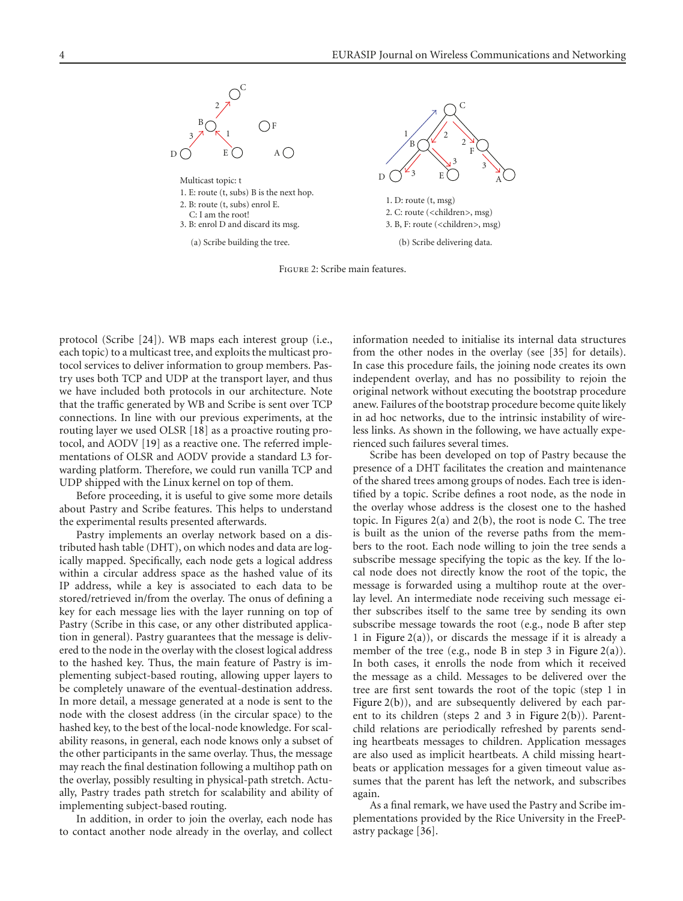<span id="page-3-0"></span>

<span id="page-3-1"></span>Figure 2: Scribe main features.

protocol (Scribe [\[24\]](#page-12-13)). WB maps each interest group (i.e., each topic) to a multicast tree, and exploits the multicast protocol services to deliver information to group members. Pastry uses both TCP and UDP at the transport layer, and thus we have included both protocols in our architecture. Note that the traffic generated by WB and Scribe is sent over TCP connections. In line with our previous experiments, at the routing layer we used OLSR [\[18\]](#page-12-6) as a proactive routing protocol, and AODV [\[19](#page-12-7)] as a reactive one. The referred implementations of OLSR and AODV provide a standard L3 forwarding platform. Therefore, we could run vanilla TCP and UDP shipped with the Linux kernel on top of them.

Before proceeding, it is useful to give some more details about Pastry and Scribe features. This helps to understand the experimental results presented afterwards.

Pastry implements an overlay network based on a distributed hash table (DHT), on which nodes and data are logically mapped. Specifically, each node gets a logical address within a circular address space as the hashed value of its IP address, while a key is associated to each data to be stored/retrieved in/from the overlay. The onus of defining a key for each message lies with the layer running on top of Pastry (Scribe in this case, or any other distributed application in general). Pastry guarantees that the message is delivered to the node in the overlay with the closest logical address to the hashed key. Thus, the main feature of Pastry is implementing subject-based routing, allowing upper layers to be completely unaware of the eventual-destination address. In more detail, a message generated at a node is sent to the node with the closest address (in the circular space) to the hashed key, to the best of the local-node knowledge. For scalability reasons, in general, each node knows only a subset of the other participants in the same overlay. Thus, the message may reach the final destination following a multihop path on the overlay, possibly resulting in physical-path stretch. Actually, Pastry trades path stretch for scalability and ability of implementing subject-based routing.

In addition, in order to join the overlay, each node has to contact another node already in the overlay, and collect

information needed to initialise its internal data structures from the other nodes in the overlay (see [\[35\]](#page-12-21) for details). In case this procedure fails, the joining node creates its own independent overlay, and has no possibility to rejoin the original network without executing the bootstrap procedure anew. Failures of the bootstrap procedure become quite likely in ad hoc networks, due to the intrinsic instability of wireless links. As shown in the following, we have actually experienced such failures several times.

Scribe has been developed on top of Pastry because the presence of a DHT facilitates the creation and maintenance of the shared trees among groups of nodes. Each tree is identified by a topic. Scribe defines a root node, as the node in the overlay whose address is the closest one to the hashed topic. In Figures [2\(a\)](#page-3-0) and [2\(b\),](#page-3-1) the root is node C. The tree is built as the union of the reverse paths from the members to the root. Each node willing to join the tree sends a subscribe message specifying the topic as the key. If the local node does not directly know the root of the topic, the message is forwarded using a multihop route at the overlay level. An intermediate node receiving such message either subscribes itself to the same tree by sending its own subscribe message towards the root (e.g., node B after step 1 in [Figure 2\(a\)\)](#page-3-0), or discards the message if it is already a member of the tree (e.g., node B in step 3 in [Figure 2\(a\)\)](#page-3-0). In both cases, it enrolls the node from which it received the message as a child. Messages to be delivered over the tree are first sent towards the root of the topic (step 1 in [Figure 2\(b\)\)](#page-3-1), and are subsequently delivered by each parent to its children (steps 2 and 3 in [Figure 2\(b\)\)](#page-3-1). Parentchild relations are periodically refreshed by parents sending heartbeats messages to children. Application messages are also used as implicit heartbeats. A child missing heartbeats or application messages for a given timeout value assumes that the parent has left the network, and subscribes again.

As a final remark, we have used the Pastry and Scribe implementations provided by the Rice University in the FreePastry package [\[36](#page-12-22)].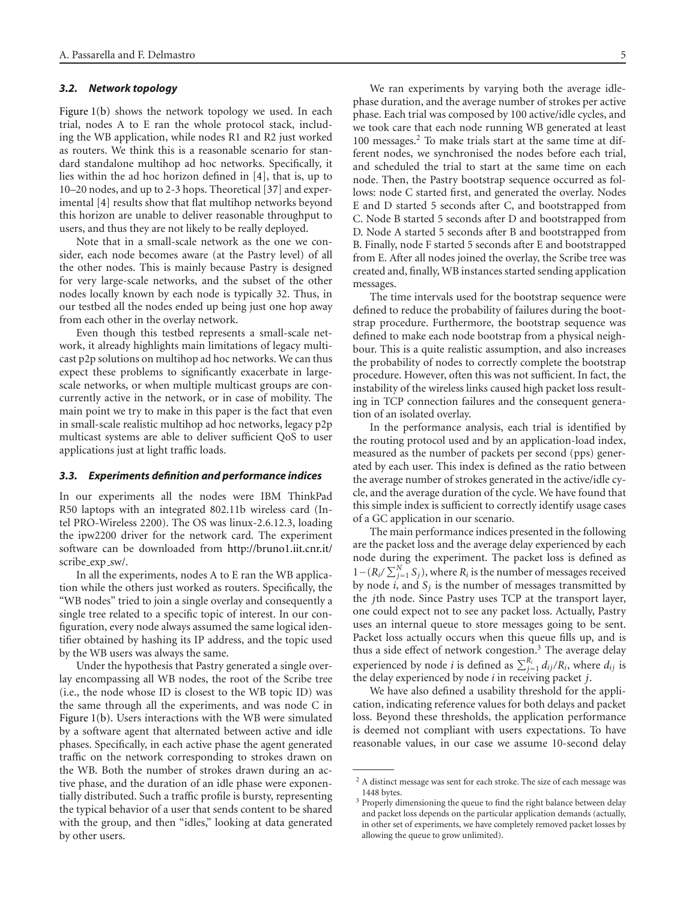#### *3.2. Network topology*

[Figure 1\(b\)](#page-2-2) shows the network topology we used. In each trial, nodes A to E ran the whole protocol stack, including the WB application, while nodes R1 and R2 just worked as routers. We think this is a reasonable scenario for standard standalone multihop ad hoc networks. Specifically, it lies within the ad hoc horizon defined in [\[4](#page-11-4)], that is, up to 10–20 nodes, and up to 2-3 hops. Theoretical [\[37](#page-12-23)] and experimental [\[4](#page-11-4)] results show that flat multihop networks beyond this horizon are unable to deliver reasonable throughput to users, and thus they are not likely to be really deployed.

Note that in a small-scale network as the one we consider, each node becomes aware (at the Pastry level) of all the other nodes. This is mainly because Pastry is designed for very large-scale networks, and the subset of the other nodes locally known by each node is typically 32. Thus, in our testbed all the nodes ended up being just one hop away from each other in the overlay network.

Even though this testbed represents a small-scale network, it already highlights main limitations of legacy multicast p2p solutions on multihop ad hoc networks. We can thus expect these problems to significantly exacerbate in largescale networks, or when multiple multicast groups are concurrently active in the network, or in case of mobility. The main point we try to make in this paper is the fact that even in small-scale realistic multihop ad hoc networks, legacy p2p multicast systems are able to deliver sufficient QoS to user applications just at light traffic loads.

### <span id="page-4-0"></span>*3.3. Experiments definition and performance indices*

In our experiments all the nodes were IBM ThinkPad R50 laptops with an integrated 802.11b wireless card (Intel PRO-Wireless 2200). The OS was linux-2.6.12.3, loading the ipw2200 driver for the network card. The experiment software can be downloaded from [http://bruno1.iit.cnr.it/](http://bruno1.iit.cnr.it/scribe_exp_sw/) scribe exp sw/.

In all the experiments, nodes A to E ran the WB application while the others just worked as routers. Specifically, the "WB nodes" tried to join a single overlay and consequently a single tree related to a specific topic of interest. In our configuration, every node always assumed the same logical identifier obtained by hashing its IP address, and the topic used by the WB users was always the same.

Under the hypothesis that Pastry generated a single overlay encompassing all WB nodes, the root of the Scribe tree (i.e., the node whose ID is closest to the WB topic ID) was the same through all the experiments, and was node C in [Figure 1\(b\).](#page-2-2) Users interactions with the WB were simulated by a software agent that alternated between active and idle phases. Specifically, in each active phase the agent generated traffic on the network corresponding to strokes drawn on the WB. Both the number of strokes drawn during an active phase, and the duration of an idle phase were exponentially distributed. Such a traffic profile is bursty, representing the typical behavior of a user that sends content to be shared with the group, and then "idles," looking at data generated by other users.

We ran experiments by varying both the average idlephase duration, and the average number of strokes per active phase. Each trial was composed by 100 active/idle cycles, and we took care that each node running WB generated at least 100 messages.<sup>2</sup> To make trials start at the same time at different nodes, we synchronised the nodes before each trial, and scheduled the trial to start at the same time on each node. Then, the Pastry bootstrap sequence occurred as follows: node C started first, and generated the overlay. Nodes E and D started 5 seconds after C, and bootstrapped from C. Node B started 5 seconds after D and bootstrapped from D. Node A started 5 seconds after B and bootstrapped from B. Finally, node F started 5 seconds after E and bootstrapped from E. After all nodes joined the overlay, the Scribe tree was created and, finally, WB instances started sending application messages.

The time intervals used for the bootstrap sequence were defined to reduce the probability of failures during the bootstrap procedure. Furthermore, the bootstrap sequence was defined to make each node bootstrap from a physical neighbour. This is a quite realistic assumption, and also increases the probability of nodes to correctly complete the bootstrap procedure. However, often this was not sufficient. In fact, the instability of the wireless links caused high packet loss resulting in TCP connection failures and the consequent generation of an isolated overlay.

In the performance analysis, each trial is identified by the routing protocol used and by an application-load index, measured as the number of packets per second (pps) generated by each user. This index is defined as the ratio between the average number of strokes generated in the active/idle cycle, and the average duration of the cycle. We have found that this simple index is sufficient to correctly identify usage cases of a GC application in our scenario.

The main performance indices presented in the following are the packet loss and the average delay experienced by each node during the experiment. The packet loss is defined as 1 − ( $R_i$ / $\sum_{j=1}^{N} S_j$ ), where  $R_i$  is the number of messages received by node  $i$ , and  $S_j$  is the number of messages transmitted by the *j*th node. Since Pastry uses TCP at the transport layer, one could expect not to see any packet loss. Actually, Pastry uses an internal queue to store messages going to be sent. Packet loss actually occurs when this queue fills up, and is thus a side effect of network congestion.<sup>3</sup> The average delay experienced by node *i* is defined as  $\sum_{j=1}^{R_i} d_{ij}/R_i$ , where  $d_{ij}$  is the delay experienced by node *i* in receiving packet *j*.

We have also defined a usability threshold for the application, indicating reference values for both delays and packet loss. Beyond these thresholds, the application performance is deemed not compliant with users expectations. To have reasonable values, in our case we assume 10-second delay

 $^{\rm 2}$  A distinct message was sent for each stroke. The size of each message was 1448 bytes.

<sup>&</sup>lt;sup>3</sup> Properly dimensioning the queue to find the right balance between delay and packet loss depends on the particular application demands (actually, in other set of experiments, we have completely removed packet losses by allowing the queue to grow unlimited).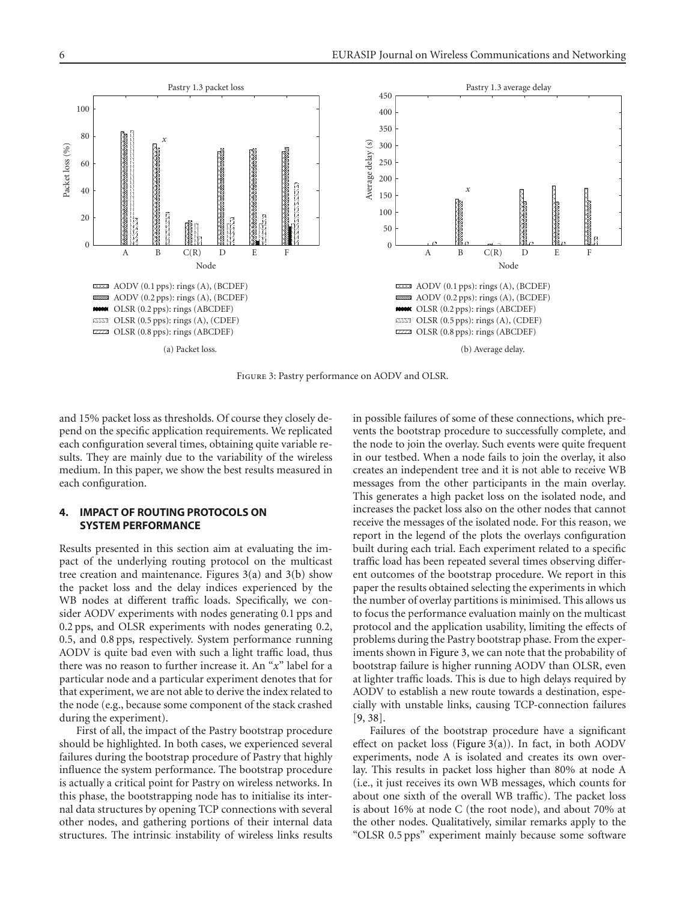<span id="page-5-1"></span>

<span id="page-5-3"></span><span id="page-5-2"></span>Figure 3: Pastry performance on AODV and OLSR.

and 15% packet loss as thresholds. Of course they closely depend on the specific application requirements. We replicated each configuration several times, obtaining quite variable results. They are mainly due to the variability of the wireless medium. In this paper, we show the best results measured in each configuration.

## <span id="page-5-0"></span>**4. IMPACT OF ROUTING PROTOCOLS ON SYSTEM PERFORMANCE**

Results presented in this section aim at evaluating the impact of the underlying routing protocol on the multicast tree creation and maintenance. Figures [3\(a\)](#page-5-1) and [3\(b\)](#page-5-2) show the packet loss and the delay indices experienced by the WB nodes at different traffic loads. Specifically, we consider AODV experiments with nodes generating 0.1 pps and 0.2 pps, and OLSR experiments with nodes generating 0.2, 0.5, and 0.8 pps, respectively. System performance running AODV is quite bad even with such a light traffic load, thus there was no reason to further increase it. An "*x*" label for a particular node and a particular experiment denotes that for that experiment, we are not able to derive the index related to the node (e.g., because some component of the stack crashed during the experiment).

First of all, the impact of the Pastry bootstrap procedure should be highlighted. In both cases, we experienced several failures during the bootstrap procedure of Pastry that highly influence the system performance. The bootstrap procedure is actually a critical point for Pastry on wireless networks. In this phase, the bootstrapping node has to initialise its internal data structures by opening TCP connections with several other nodes, and gathering portions of their internal data structures. The intrinsic instability of wireless links results

in possible failures of some of these connections, which prevents the bootstrap procedure to successfully complete, and the node to join the overlay. Such events were quite frequent in our testbed. When a node fails to join the overlay, it also creates an independent tree and it is not able to receive WB messages from the other participants in the main overlay. This generates a high packet loss on the isolated node, and increases the packet loss also on the other nodes that cannot receive the messages of the isolated node. For this reason, we report in the legend of the plots the overlays configuration built during each trial. Each experiment related to a specific traffic load has been repeated several times observing different outcomes of the bootstrap procedure. We report in this paper the results obtained selecting the experiments in which the number of overlay partitions is minimised. This allows us to focus the performance evaluation mainly on the multicast protocol and the application usability, limiting the effects of problems during the Pastry bootstrap phase. From the experiments shown in [Figure 3,](#page-5-3) we can note that the probability of bootstrap failure is higher running AODV than OLSR, even at lighter traffic loads. This is due to high delays required by AODV to establish a new route towards a destination, especially with unstable links, causing TCP-connection failures [\[9,](#page-11-8) [38\]](#page-12-24).

Failures of the bootstrap procedure have a significant effect on packet loss (Figure  $3(a)$ ). In fact, in both AODV experiments, node A is isolated and creates its own overlay. This results in packet loss higher than 80% at node A (i.e., it just receives its own WB messages, which counts for about one sixth of the overall WB traffic). The packet loss is about 16% at node C (the root node), and about 70% at the other nodes. Qualitatively, similar remarks apply to the "OLSR 0.5 pps" experiment mainly because some software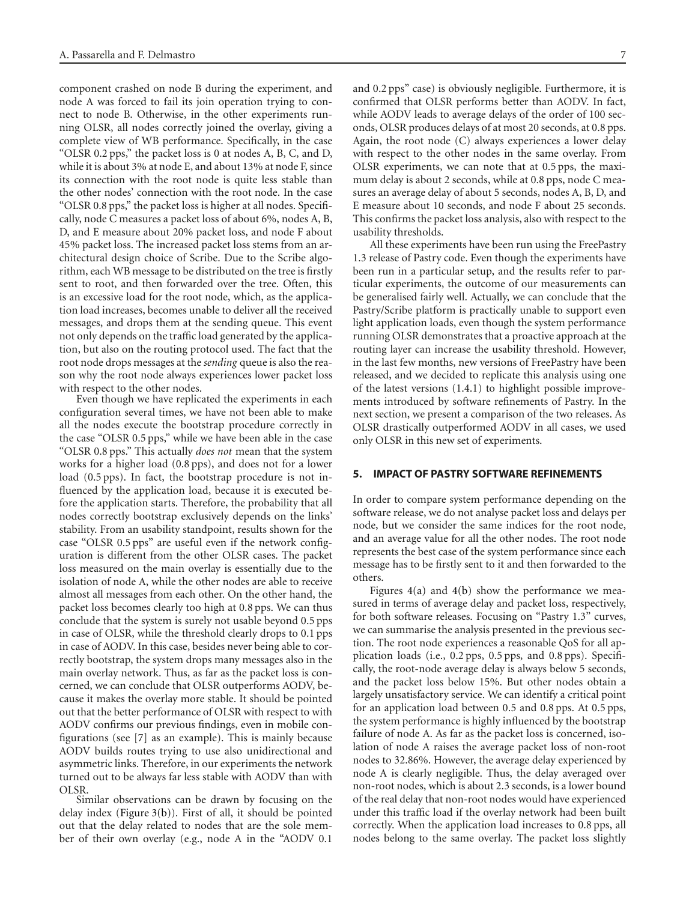component crashed on node B during the experiment, and node A was forced to fail its join operation trying to connect to node B. Otherwise, in the other experiments running OLSR, all nodes correctly joined the overlay, giving a complete view of WB performance. Specifically, in the case "OLSR 0.2 pps," the packet loss is 0 at nodes A, B, C, and D, while it is about 3% at node E, and about 13% at node F, since its connection with the root node is quite less stable than the other nodes' connection with the root node. In the case "OLSR 0.8 pps," the packet loss is higher at all nodes. Specifically, node C measures a packet loss of about 6%, nodes A, B, D, and E measure about 20% packet loss, and node F about 45% packet loss. The increased packet loss stems from an architectural design choice of Scribe. Due to the Scribe algorithm, each WB message to be distributed on the tree is firstly sent to root, and then forwarded over the tree. Often, this is an excessive load for the root node, which, as the application load increases, becomes unable to deliver all the received messages, and drops them at the sending queue. This event not only depends on the traffic load generated by the application, but also on the routing protocol used. The fact that the root node drops messages at the *sending* queue is also the reason why the root node always experiences lower packet loss with respect to the other nodes.

Even though we have replicated the experiments in each configuration several times, we have not been able to make all the nodes execute the bootstrap procedure correctly in the case "OLSR 0.5 pps," while we have been able in the case "OLSR 0.8 pps." This actually *does not* mean that the system works for a higher load (0.8 pps), and does not for a lower load (0.5 pps). In fact, the bootstrap procedure is not influenced by the application load, because it is executed before the application starts. Therefore, the probability that all nodes correctly bootstrap exclusively depends on the links' stability. From an usability standpoint, results shown for the case "OLSR 0.5 pps" are useful even if the network configuration is different from the other OLSR cases. The packet loss measured on the main overlay is essentially due to the isolation of node A, while the other nodes are able to receive almost all messages from each other. On the other hand, the packet loss becomes clearly too high at 0.8 pps. We can thus conclude that the system is surely not usable beyond 0.5 pps in case of OLSR, while the threshold clearly drops to 0.1 pps in case of AODV. In this case, besides never being able to correctly bootstrap, the system drops many messages also in the main overlay network. Thus, as far as the packet loss is concerned, we can conclude that OLSR outperforms AODV, because it makes the overlay more stable. It should be pointed out that the better performance of OLSR with respect to with AODV confirms our previous findings, even in mobile configurations (see [\[7](#page-11-7)] as an example). This is mainly because AODV builds routes trying to use also unidirectional and asymmetric links. Therefore, in our experiments the network turned out to be always far less stable with AODV than with OLSR.

Similar observations can be drawn by focusing on the delay index [\(Figure 3\(b\)\)](#page-5-2). First of all, it should be pointed out that the delay related to nodes that are the sole member of their own overlay (e.g., node A in the "AODV 0.1

and 0.2 pps" case) is obviously negligible. Furthermore, it is confirmed that OLSR performs better than AODV. In fact, while AODV leads to average delays of the order of 100 seconds, OLSR produces delays of at most 20 seconds, at 0.8 pps. Again, the root node (C) always experiences a lower delay with respect to the other nodes in the same overlay. From OLSR experiments, we can note that at 0.5 pps, the maximum delay is about 2 seconds, while at 0.8 pps, node C measures an average delay of about 5 seconds, nodes A, B, D, and E measure about 10 seconds, and node F about 25 seconds. This confirms the packet loss analysis, also with respect to the usability thresholds.

All these experiments have been run using the FreePastry 1.3 release of Pastry code. Even though the experiments have been run in a particular setup, and the results refer to particular experiments, the outcome of our measurements can be generalised fairly well. Actually, we can conclude that the Pastry/Scribe platform is practically unable to support even light application loads, even though the system performance running OLSR demonstrates that a proactive approach at the routing layer can increase the usability threshold. However, in the last few months, new versions of FreePastry have been released, and we decided to replicate this analysis using one of the latest versions (1.4.1) to highlight possible improvements introduced by software refinements of Pastry. In the next section, we present a comparison of the two releases. As OLSR drastically outperformed AODV in all cases, we used only OLSR in this new set of experiments.

### <span id="page-6-0"></span>**5. IMPACT OF PASTRY SOFTWARE REFINEMENTS**

In order to compare system performance depending on the software release, we do not analyse packet loss and delays per node, but we consider the same indices for the root node, and an average value for all the other nodes. The root node represents the best case of the system performance since each message has to be firstly sent to it and then forwarded to the others.

Figures  $4(a)$  and  $4(b)$  show the performance we measured in terms of average delay and packet loss, respectively, for both software releases. Focusing on "Pastry 1.3" curves, we can summarise the analysis presented in the previous section. The root node experiences a reasonable QoS for all application loads (i.e., 0.2 pps, 0.5 pps, and 0.8 pps). Specifically, the root-node average delay is always below 5 seconds, and the packet loss below 15%. But other nodes obtain a largely unsatisfactory service. We can identify a critical point for an application load between 0.5 and 0.8 pps. At 0.5 pps, the system performance is highly influenced by the bootstrap failure of node A. As far as the packet loss is concerned, isolation of node A raises the average packet loss of non-root nodes to 32.86%. However, the average delay experienced by node A is clearly negligible. Thus, the delay averaged over non-root nodes, which is about 2.3 seconds, is a lower bound of the real delay that non-root nodes would have experienced under this traffic load if the overlay network had been built correctly. When the application load increases to 0.8 pps, all nodes belong to the same overlay. The packet loss slightly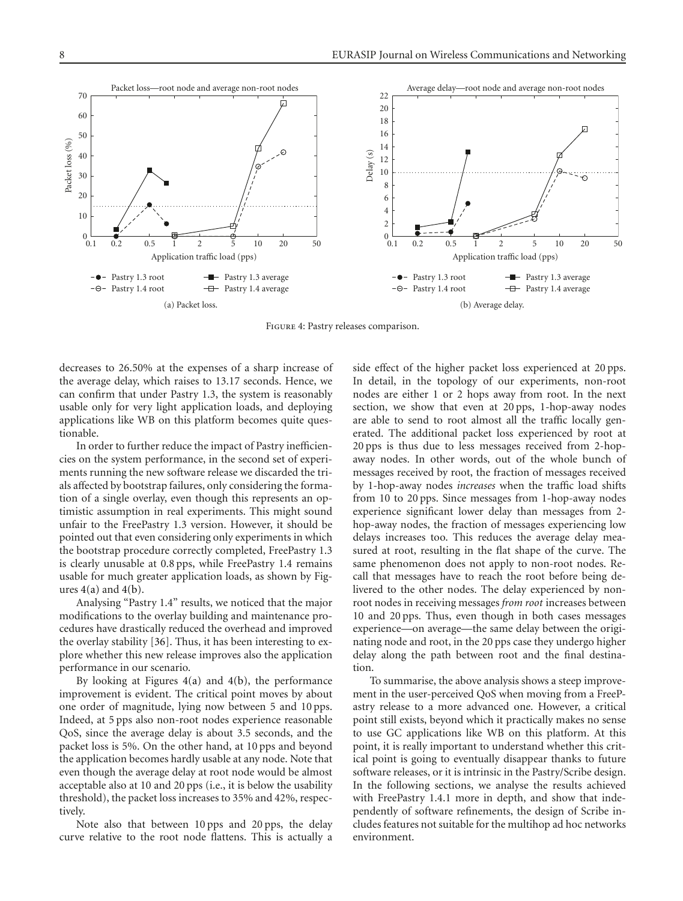<span id="page-7-0"></span>

<span id="page-7-1"></span>Figure 4: Pastry releases comparison.

decreases to 26.50% at the expenses of a sharp increase of the average delay, which raises to 13.17 seconds. Hence, we can confirm that under Pastry 1.3, the system is reasonably usable only for very light application loads, and deploying applications like WB on this platform becomes quite questionable.

In order to further reduce the impact of Pastry inefficiencies on the system performance, in the second set of experiments running the new software release we discarded the trials affected by bootstrap failures, only considering the formation of a single overlay, even though this represents an optimistic assumption in real experiments. This might sound unfair to the FreePastry 1.3 version. However, it should be pointed out that even considering only experiments in which the bootstrap procedure correctly completed, FreePastry 1.3 is clearly unusable at 0.8 pps, while FreePastry 1.4 remains usable for much greater application loads, as shown by Figures  $4(a)$  and  $4(b)$ .

Analysing "Pastry 1.4" results, we noticed that the major modifications to the overlay building and maintenance procedures have drastically reduced the overhead and improved the overlay stability [\[36](#page-12-22)]. Thus, it has been interesting to explore whether this new release improves also the application performance in our scenario.

By looking at Figures [4\(a\)](#page-7-0) and [4\(b\),](#page-7-1) the performance improvement is evident. The critical point moves by about one order of magnitude, lying now between 5 and 10 pps. Indeed, at 5 pps also non-root nodes experience reasonable QoS, since the average delay is about 3.5 seconds, and the packet loss is 5%. On the other hand, at 10 pps and beyond the application becomes hardly usable at any node. Note that even though the average delay at root node would be almost acceptable also at 10 and 20 pps (i.e., it is below the usability threshold), the packet loss increases to 35% and 42%, respectively.

Note also that between 10 pps and 20 pps, the delay curve relative to the root node flattens. This is actually a

side effect of the higher packet loss experienced at 20 pps. In detail, in the topology of our experiments, non-root nodes are either 1 or 2 hops away from root. In the next section, we show that even at 20 pps, 1-hop-away nodes are able to send to root almost all the traffic locally generated. The additional packet loss experienced by root at 20 pps is thus due to less messages received from 2-hopaway nodes. In other words, out of the whole bunch of messages received by root, the fraction of messages received by 1-hop-away nodes *increases* when the traffic load shifts from 10 to 20 pps. Since messages from 1-hop-away nodes experience significant lower delay than messages from 2 hop-away nodes, the fraction of messages experiencing low delays increases too. This reduces the average delay measured at root, resulting in the flat shape of the curve. The same phenomenon does not apply to non-root nodes. Recall that messages have to reach the root before being delivered to the other nodes. The delay experienced by nonroot nodes in receiving messages *from root* increases between 10 and 20 pps. Thus, even though in both cases messages experience—on average—the same delay between the originating node and root, in the 20 pps case they undergo higher delay along the path between root and the final destination.

To summarise, the above analysis shows a steep improvement in the user-perceived QoS when moving from a FreePastry release to a more advanced one. However, a critical point still exists, beyond which it practically makes no sense to use GC applications like WB on this platform. At this point, it is really important to understand whether this critical point is going to eventually disappear thanks to future software releases, or it is intrinsic in the Pastry/Scribe design. In the following sections, we analyse the results achieved with FreePastry 1.4.1 more in depth, and show that independently of software refinements, the design of Scribe includes features not suitable for the multihop ad hoc networks environment.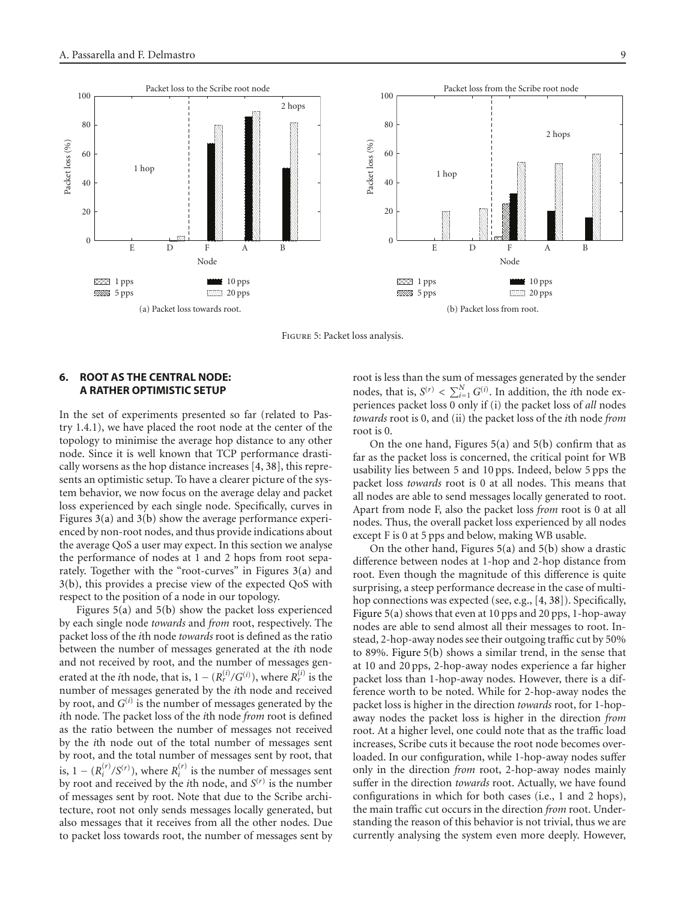80

Packet loss (%)

Packet loss (%

<span id="page-8-1"></span>100





<span id="page-8-2"></span>Figure 5: Packet loss analysis.

## <span id="page-8-0"></span>**6. ROOT AS THE CENTRAL NODE: A RATHER OPTIMISTIC SETUP**

In the set of experiments presented so far (related to Pastry 1.4.1), we have placed the root node at the center of the topology to minimise the average hop distance to any other node. Since it is well known that TCP performance drastically worsens as the hop distance increases [\[4](#page-11-4), [38](#page-12-24)], this represents an optimistic setup. To have a clearer picture of the system behavior, we now focus on the average delay and packet loss experienced by each single node. Specifically, curves in Figures [3\(a\)](#page-5-1) and [3\(b\)](#page-5-2) show the average performance experienced by non-root nodes, and thus provide indications about the average QoS a user may expect. In this section we analyse the performance of nodes at 1 and 2 hops from root separately. Together with the "root-curves" in Figures [3\(a\)](#page-5-1) and [3\(b\),](#page-5-2) this provides a precise view of the expected QoS with respect to the position of a node in our topology.

Figures [5\(a\)](#page-8-1) and [5\(b\)](#page-8-2) show the packet loss experienced by each single node *towards* and *from* root, respectively. The packet loss of the *i*th node *towards* root is defined as the ratio between the number of messages generated at the *i*th node and not received by root, and the number of messages generated at the *i*th node, that is,  $1 - (R_r^{(i)}/G^{(i)})$ , where  $R_r^{(i)}$  is the number of messages generated by the *i*th node and received by root, and  $G^{(i)}$  is the number of messages generated by the *i*th node. The packet loss of the *i*th node *from* root is defined as the ratio between the number of messages not received by the *i*th node out of the total number of messages sent by root, and the total number of messages sent by root, that is,  $1 - (R_i^{(r)}/S^{(r)})$ , where  $R_i^{(r)}$  is the number of messages sent by root and received by the *i*th node, and  $S^{(r)}$  is the number of messages sent by root. Note that due to the Scribe architecture, root not only sends messages locally generated, but also messages that it receives from all the other nodes. Due to packet loss towards root, the number of messages sent by

root is less than the sum of messages generated by the sender nodes, that is,  $S^{(r)} < \sum_{i=1}^{N} G^{(i)}$ . In addition, the *i*<sup>th</sup> node experiences packet loss 0 only if (i) the packet loss of *all* nodes *towards* root is 0, and (ii) the packet loss of the *i*th node *from* root is 0.

On the one hand, Figures  $5(a)$  and  $5(b)$  confirm that as far as the packet loss is concerned, the critical point for WB usability lies between 5 and 10 pps. Indeed, below 5 pps the packet loss *towards* root is 0 at all nodes. This means that all nodes are able to send messages locally generated to root. Apart from node F, also the packet loss *from* root is 0 at all nodes. Thus, the overall packet loss experienced by all nodes except F is 0 at 5 pps and below, making WB usable.

On the other hand, Figures [5\(a\)](#page-8-1) and [5\(b\)](#page-8-2) show a drastic difference between nodes at 1-hop and 2-hop distance from root. Even though the magnitude of this difference is quite surprising, a steep performance decrease in the case of multihop connections was expected (see, e.g., [\[4](#page-11-4), [38](#page-12-24)]). Specifically, [Figure 5\(a\)](#page-8-1) shows that even at 10 pps and 20 pps, 1-hop-away nodes are able to send almost all their messages to root. Instead, 2-hop-away nodes see their outgoing traffic cut by 50% to 89%. [Figure 5\(b\)](#page-8-2) shows a similar trend, in the sense that at 10 and 20 pps, 2-hop-away nodes experience a far higher packet loss than 1-hop-away nodes. However, there is a difference worth to be noted. While for 2-hop-away nodes the packet loss is higher in the direction *towards* root, for 1-hopaway nodes the packet loss is higher in the direction *from* root. At a higher level, one could note that as the traffic load increases, Scribe cuts it because the root node becomes overloaded. In our configuration, while 1-hop-away nodes suffer only in the direction *from* root, 2-hop-away nodes mainly suffer in the direction *towards* root. Actually, we have found configurations in which for both cases (i.e., 1 and 2 hops), the main traffic cut occurs in the direction *from* root. Understanding the reason of this behavior is not trivial, thus we are currently analysing the system even more deeply. However,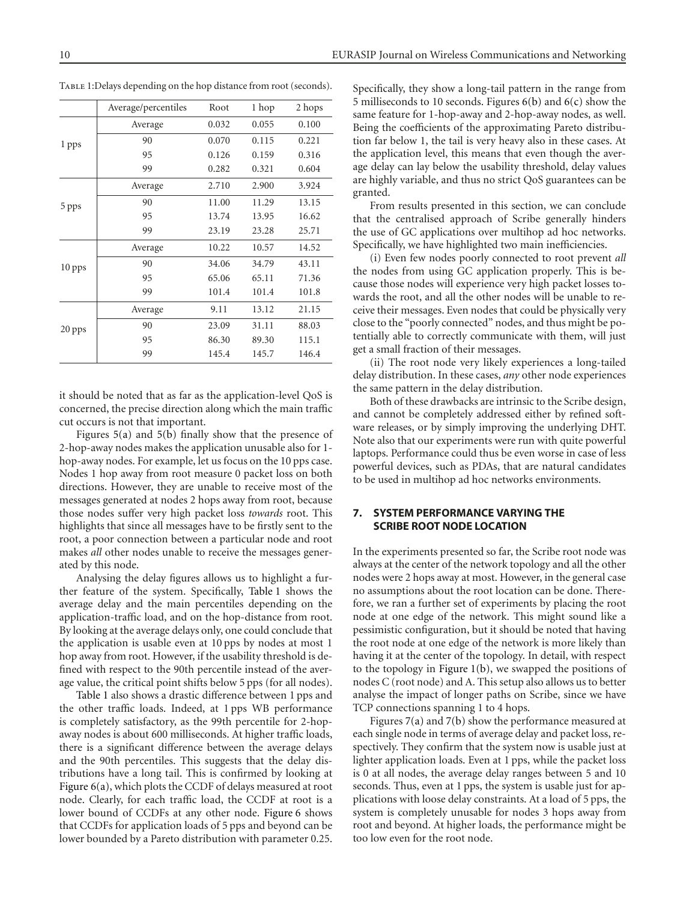<span id="page-9-1"></span>

|        | Average/percentiles | Root  | 1 hop | 2 hops |
|--------|---------------------|-------|-------|--------|
| 1 pps  | Average             | 0.032 | 0.055 | 0.100  |
|        | 90                  | 0.070 | 0.115 | 0.221  |
|        | 95                  | 0.126 | 0.159 | 0.316  |
|        | 99                  | 0.282 | 0.321 | 0.604  |
| 5 pps  | Average             | 2.710 | 2.900 | 3.924  |
|        | 90                  | 11.00 | 11.29 | 13.15  |
|        | 95                  | 13.74 | 13.95 | 16.62  |
|        | 99                  | 23.19 | 23.28 | 25.71  |
| 10 pps | Average             | 10.22 | 10.57 | 14.52  |
|        | 90                  | 34.06 | 34.79 | 43.11  |
|        | 95                  | 65.06 | 65.11 | 71.36  |
|        | 99                  | 101.4 | 101.4 | 101.8  |
| 20 pps | Average             | 9.11  | 13.12 | 21.15  |
|        | 90                  | 23.09 | 31.11 | 88.03  |
|        | 95                  | 86.30 | 89.30 | 115.1  |
|        | 99                  | 145.4 | 145.7 | 146.4  |

TABLE 1:Delays depending on the hop distance from root (seconds).

it should be noted that as far as the application-level QoS is concerned, the precise direction along which the main traffic cut occurs is not that important.

Figures [5\(a\)](#page-8-1) and [5\(b\)](#page-8-2) finally show that the presence of 2-hop-away nodes makes the application unusable also for 1 hop-away nodes. For example, let us focus on the 10 pps case. Nodes 1 hop away from root measure 0 packet loss on both directions. However, they are unable to receive most of the messages generated at nodes 2 hops away from root, because those nodes suffer very high packet loss *towards* root. This highlights that since all messages have to be firstly sent to the root, a poor connection between a particular node and root makes *all* other nodes unable to receive the messages generated by this node.

Analysing the delay figures allows us to highlight a further feature of the system. Specifically, [Table 1](#page-9-1) shows the average delay and the main percentiles depending on the application-traffic load, and on the hop-distance from root. By looking at the average delays only, one could conclude that the application is usable even at 10 pps by nodes at most 1 hop away from root. However, if the usability threshold is defined with respect to the 90th percentile instead of the average value, the critical point shifts below 5 pps (for all nodes).

[Table 1](#page-9-1) also shows a drastic difference between 1 pps and the other traffic loads. Indeed, at 1 pps WB performance is completely satisfactory, as the 99th percentile for 2-hopaway nodes is about 600 milliseconds. At higher traffic loads, there is a significant difference between the average delays and the 90th percentiles. This suggests that the delay distributions have a long tail. This is confirmed by looking at [Figure 6\(a\),](#page-10-0) which plots the CCDF of delays measured at root node. Clearly, for each traffic load, the CCDF at root is a lower bound of CCDFs at any other node. [Figure 6](#page-10-1) shows that CCDFs for application loads of 5 pps and beyond can be lower bounded by a Pareto distribution with parameter 0.25.

Specifically, they show a long-tail pattern in the range from 5 milliseconds to 10 seconds. Figures [6\(b\)](#page-10-2) and [6\(c\)](#page-10-3) show the same feature for 1-hop-away and 2-hop-away nodes, as well. Being the coefficients of the approximating Pareto distribution far below 1, the tail is very heavy also in these cases. At the application level, this means that even though the average delay can lay below the usability threshold, delay values are highly variable, and thus no strict QoS guarantees can be granted.

From results presented in this section, we can conclude that the centralised approach of Scribe generally hinders the use of GC applications over multihop ad hoc networks. Specifically, we have highlighted two main inefficiencies.

(i) Even few nodes poorly connected to root prevent *all* the nodes from using GC application properly. This is because those nodes will experience very high packet losses towards the root, and all the other nodes will be unable to receive their messages. Even nodes that could be physically very close to the "poorly connected" nodes, and thus might be potentially able to correctly communicate with them, will just get a small fraction of their messages.

(ii) The root node very likely experiences a long-tailed delay distribution. In these cases, *any* other node experiences the same pattern in the delay distribution.

Both of these drawbacks are intrinsic to the Scribe design, and cannot be completely addressed either by refined software releases, or by simply improving the underlying DHT. Note also that our experiments were run with quite powerful laptops. Performance could thus be even worse in case of less powerful devices, such as PDAs, that are natural candidates to be used in multihop ad hoc networks environments.

## <span id="page-9-0"></span>**7. SYSTEM PERFORMANCE VARYING THE SCRIBE ROOT NODE LOCATION**

In the experiments presented so far, the Scribe root node was always at the center of the network topology and all the other nodes were 2 hops away at most. However, in the general case no assumptions about the root location can be done. Therefore, we ran a further set of experiments by placing the root node at one edge of the network. This might sound like a pessimistic configuration, but it should be noted that having the root node at one edge of the network is more likely than having it at the center of the topology. In detail, with respect to the topology in [Figure 1\(b\),](#page-2-2) we swapped the positions of nodes C (root node) and A. This setup also allows us to better analyse the impact of longer paths on Scribe, since we have TCP connections spanning 1 to 4 hops.

Figures [7\(a\)](#page-11-10) and [7\(b\)](#page-11-11) show the performance measured at each single node in terms of average delay and packet loss, respectively. They confirm that the system now is usable just at lighter application loads. Even at 1 pps, while the packet loss is 0 at all nodes, the average delay ranges between 5 and 10 seconds. Thus, even at 1 pps, the system is usable just for applications with loose delay constraints. At a load of 5 pps, the system is completely unusable for nodes 3 hops away from root and beyond. At higher loads, the performance might be too low even for the root node.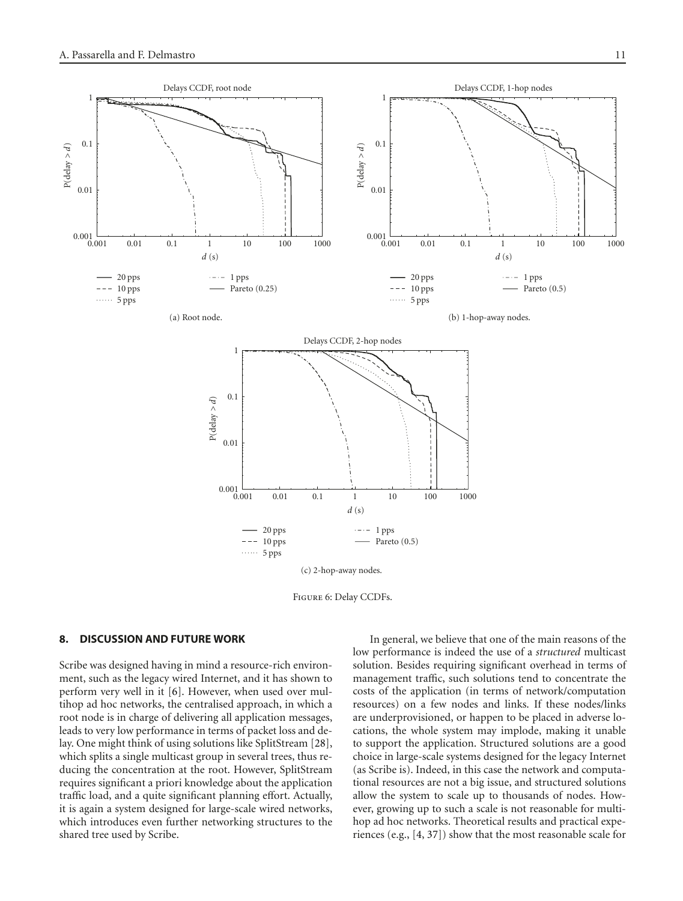<span id="page-10-3"></span><span id="page-10-0"></span>

<span id="page-10-2"></span><span id="page-10-1"></span>Figure 6: Delay CCDFs.

# **8. DISCUSSION AND FUTURE WORK**

Scribe was designed having in mind a resource-rich environment, such as the legacy wired Internet, and it has shown to perform very well in it [\[6](#page-11-6)]. However, when used over multihop ad hoc networks, the centralised approach, in which a root node is in charge of delivering all application messages, leads to very low performance in terms of packet loss and delay. One might think of using solutions like SplitStream [\[28](#page-12-12)], which splits a single multicast group in several trees, thus reducing the concentration at the root. However, SplitStream requires significant a priori knowledge about the application traffic load, and a quite significant planning effort. Actually, it is again a system designed for large-scale wired networks, which introduces even further networking structures to the shared tree used by Scribe.

In general, we believe that one of the main reasons of the low performance is indeed the use of a *structured* multicast solution. Besides requiring significant overhead in terms of management traffic, such solutions tend to concentrate the costs of the application (in terms of network/computation resources) on a few nodes and links. If these nodes/links are underprovisioned, or happen to be placed in adverse locations, the whole system may implode, making it unable to support the application. Structured solutions are a good choice in large-scale systems designed for the legacy Internet (as Scribe is). Indeed, in this case the network and computational resources are not a big issue, and structured solutions allow the system to scale up to thousands of nodes. However, growing up to such a scale is not reasonable for multihop ad hoc networks. Theoretical results and practical experiences (e.g., [\[4,](#page-11-4) [37\]](#page-12-23)) show that the most reasonable scale for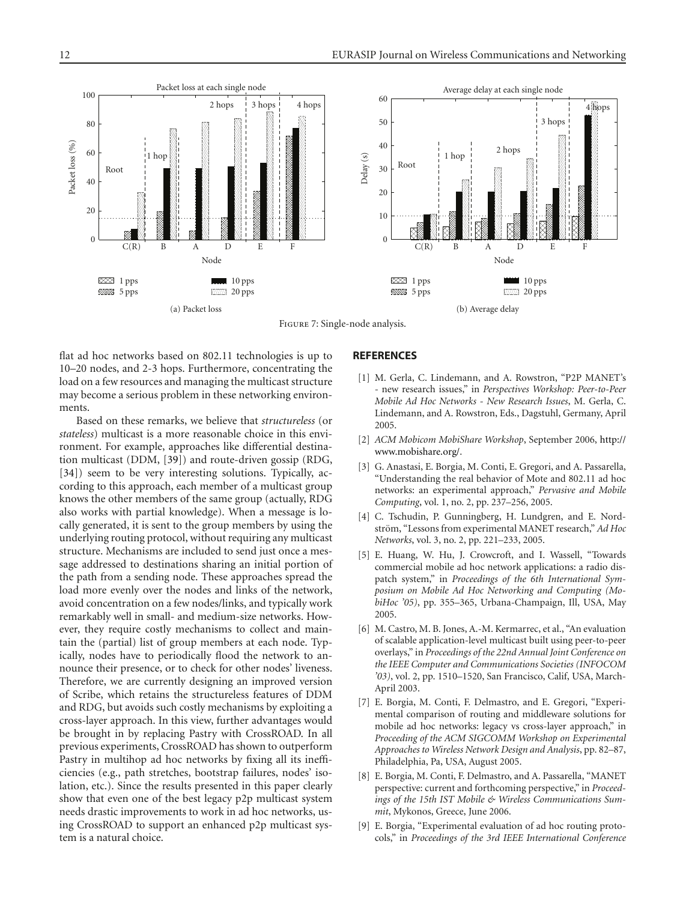<span id="page-11-10"></span>

<span id="page-11-11"></span><span id="page-11-1"></span><span id="page-11-0"></span>Figure 7: Single-node analysis.

flat ad hoc networks based on 802.11 technologies is up to 10–20 nodes, and 2-3 hops. Furthermore, concentrating the load on a few resources and managing the multicast structure may become a serious problem in these networking environments.

Based on these remarks, we believe that *structureless* (or *stateless*) multicast is a more reasonable choice in this environment. For example, approaches like differential destination multicast (DDM, [\[39\]](#page-12-25)) and route-driven gossip (RDG, [\[34](#page-12-20)]) seem to be very interesting solutions. Typically, according to this approach, each member of a multicast group knows the other members of the same group (actually, RDG also works with partial knowledge). When a message is locally generated, it is sent to the group members by using the underlying routing protocol, without requiring any multicast structure. Mechanisms are included to send just once a message addressed to destinations sharing an initial portion of the path from a sending node. These approaches spread the load more evenly over the nodes and links of the network, avoid concentration on a few nodes/links, and typically work remarkably well in small- and medium-size networks. However, they require costly mechanisms to collect and maintain the (partial) list of group members at each node. Typically, nodes have to periodically flood the network to announce their presence, or to check for other nodes' liveness. Therefore, we are currently designing an improved version of Scribe, which retains the structureless features of DDM and RDG, but avoids such costly mechanisms by exploiting a cross-layer approach. In this view, further advantages would be brought in by replacing Pastry with CrossROAD. In all previous experiments, CrossROAD has shown to outperform Pastry in multihop ad hoc networks by fixing all its inefficiencies (e.g., path stretches, bootstrap failures, nodes' isolation, etc.). Since the results presented in this paper clearly show that even one of the best legacy p2p multicast system needs drastic improvements to work in ad hoc networks, using CrossROAD to support an enhanced p2p multicast system is a natural choice.

## **REFERENCES**

- [1] M. Gerla, C. Lindemann, and A. Rowstron, "P2P MANET's - new research issues," in *Perspectives Workshop: Peer-to-Peer Mobile Ad Hoc Networks - New Research Issues*, M. Gerla, C. Lindemann, and A. Rowstron, Eds., Dagstuhl, Germany, April 2005.
- <span id="page-11-2"></span>[2] *ACM Mobicom MobiShare Workshop*, September 2006, [http://](http://www.mobishare.org/) [www.mobishare.org/.](http://www.mobishare.org/)
- <span id="page-11-3"></span>[3] G. Anastasi, E. Borgia, M. Conti, E. Gregori, and A. Passarella, "Understanding the real behavior of Mote and 802.11 ad hoc networks: an experimental approach," *Pervasive and Mobile Computing*, vol. 1, no. 2, pp. 237–256, 2005.
- <span id="page-11-4"></span>[4] C. Tschudin, P. Gunningberg, H. Lundgren, and E. Nordström, "Lessons from experimental MANET research," Ad Hoc *Networks*, vol. 3, no. 2, pp. 221–233, 2005.
- <span id="page-11-5"></span>[5] E. Huang, W. Hu, J. Crowcroft, and I. Wassell, "Towards commercial mobile ad hoc network applications: a radio dispatch system," in *Proceedings of the 6th International Symposium on Mobile Ad Hoc Networking and Computing (MobiHoc '05)*, pp. 355–365, Urbana-Champaign, Ill, USA, May 2005.
- <span id="page-11-6"></span>[6] M. Castro, M. B. Jones, A.-M. Kermarrec, et al., "An evaluation of scalable application-level multicast built using peer-to-peer overlays," in *Proceedings of the 22nd Annual Joint Conference on the IEEE Computer and Communications Societies (INFOCOM '03)*, vol. 2, pp. 1510–1520, San Francisco, Calif, USA, March-April 2003.
- <span id="page-11-7"></span>[7] E. Borgia, M. Conti, F. Delmastro, and E. Gregori, "Experimental comparison of routing and middleware solutions for mobile ad hoc networks: legacy vs cross-layer approach," in *Proceeding of the ACM SIGCOMM Workshop on Experimental Approaches to Wireless Network Design and Analysis*, pp. 82–87, Philadelphia, Pa, USA, August 2005.
- <span id="page-11-9"></span>[8] E. Borgia, M. Conti, F. Delmastro, and A. Passarella, "MANET perspective: current and forthcoming perspective," in *Proceedings of the 15th IST Mobile & Wireless Communications Summit*, Mykonos, Greece, June 2006.
- <span id="page-11-8"></span>[9] E. Borgia, "Experimental evaluation of ad hoc routing protocols," in *Proceedings of the 3rd IEEE International Conference*